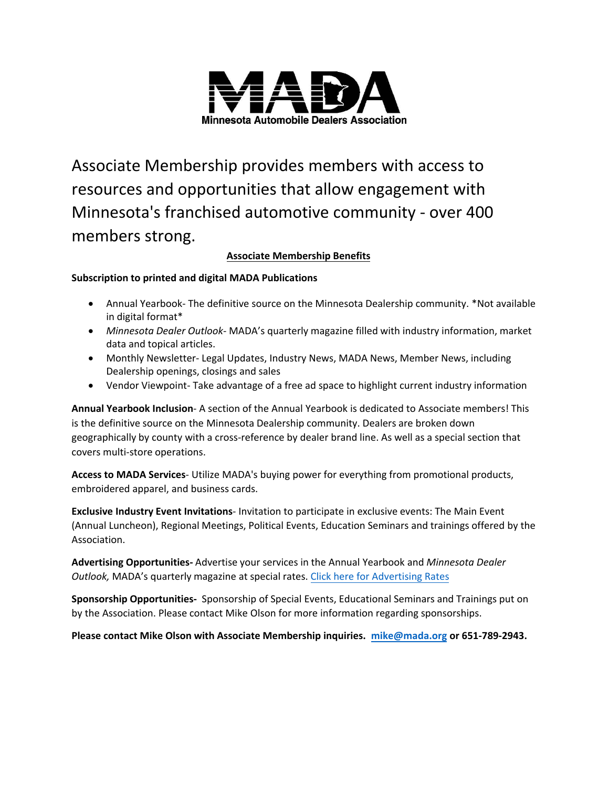

Associate Membership provides members with access to resources and opportunities that allow engagement with Minnesota's franchised automotive community - over 400 members strong.

## **Associate Membership Benefits**

## **Subscription to printed and digital MADA Publications**

- Annual Yearbook- The definitive source on the Minnesota Dealership community. \*Not available in digital format\*
- *Minnesota Dealer Outlook* MADA's quarterly magazine filled with industry information, market data and topical articles.
- Monthly Newsletter- Legal Updates, Industry News, MADA News, Member News, including Dealership openings, closings and sales
- Vendor Viewpoint- Take advantage of a free ad space to highlight current industry information

**Annual Yearbook Inclusion**- A section of the Annual Yearbook is dedicated to Associate members! This is the definitive source on the Minnesota Dealership community. Dealers are broken down geographically by county with a cross-reference by dealer brand line. As well as a special section that covers multi-store operations.

**Access to MADA Services**- Utilize MADA's buying power for everything from promotional products, embroidered apparel, and business cards.

**Exclusive Industry Event Invitations**- Invitation to pa[rticipate in exclusive events: The](http://www.mada.org/news/advertising-opportunities) Main Event (Annual Luncheon), Regional Mee[tings, Politica](mailto:alice@mada.org?subject=Sponsorship%20Inquiry)l Events, Education Seminars and trainings offered by the Association.

**Advertising Opportunities-** Advertise your services in the Annual Yearbook and *Minnesota Dealer Outlook,* MADA's quarterly magazine at special rates. Click here for Advertising Rates

**Sponsorship Opportunities-** Sponsorship of Special Events, Educat[ional Seminars and](mailto:alice@mada.org) Trainings put on by the Association. Please contact Mike Olson for more information regarding sponsorships.

**Please contact Mike Olson with Associate Membership inquiries. mike@mada.org or 651-789-2943.**